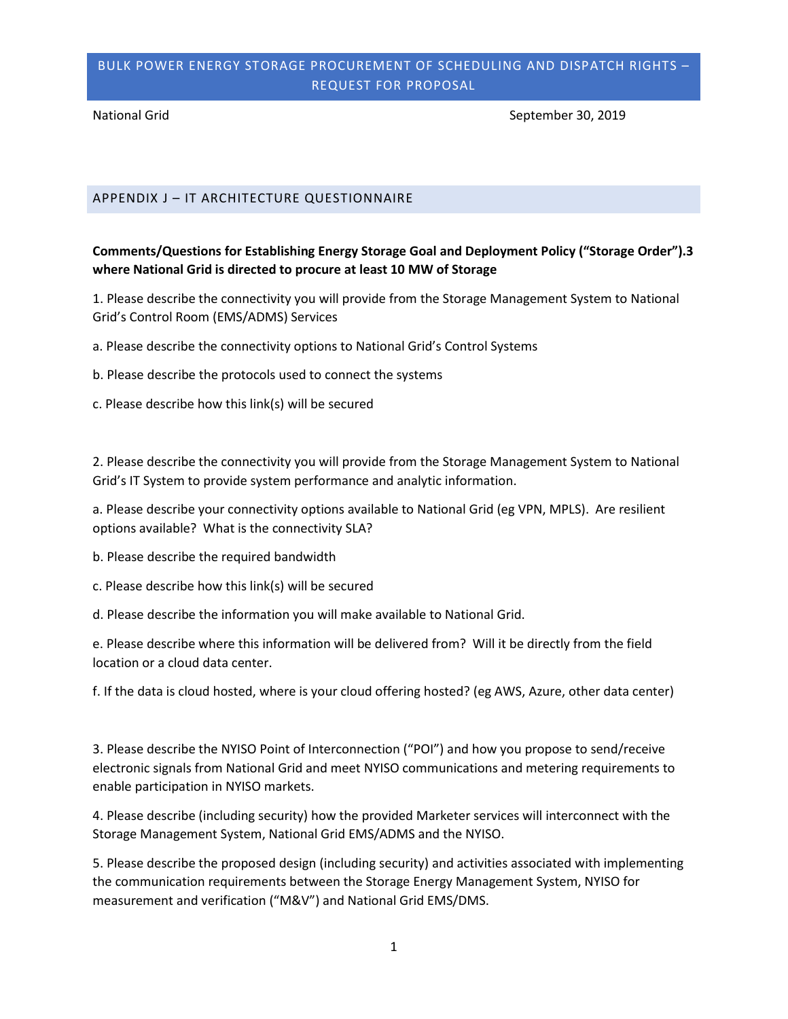# BULK POWER ENERGY STORAGE PROCUREMENT OF SCHEDULING AND DISPATCH RIGHTS – REQUEST FOR PROPOSAL

National Grid September 30, 2019

# APPENDIX J – IT ARCHITECTURE QUESTIONNAIRE

# **Comments/Questions for Establishing Energy Storage Goal and Deployment Policy ("Storage Order").3 where National Grid is directed to procure at least 10 MW of Storage**

1. Please describe the connectivity you will provide from the Storage Management System to National Grid's Control Room (EMS/ADMS) Services

- a. Please describe the connectivity options to National Grid's Control Systems
- b. Please describe the protocols used to connect the systems
- c. Please describe how this link(s) will be secured

2. Please describe the connectivity you will provide from the Storage Management System to National Grid's IT System to provide system performance and analytic information.

a. Please describe your connectivity options available to National Grid (eg VPN, MPLS). Are resilient options available? What is the connectivity SLA?

- b. Please describe the required bandwidth
- c. Please describe how this link(s) will be secured
- d. Please describe the information you will make available to National Grid.

e. Please describe where this information will be delivered from? Will it be directly from the field location or a cloud data center.

f. If the data is cloud hosted, where is your cloud offering hosted? (eg AWS, Azure, other data center)

3. Please describe the NYISO Point of Interconnection ("POI") and how you propose to send/receive electronic signals from National Grid and meet NYISO communications and metering requirements to enable participation in NYISO markets.

4. Please describe (including security) how the provided Marketer services will interconnect with the Storage Management System, National Grid EMS/ADMS and the NYISO.

5. Please describe the proposed design (including security) and activities associated with implementing the communication requirements between the Storage Energy Management System, NYISO for measurement and verification ("M&V") and National Grid EMS/DMS.